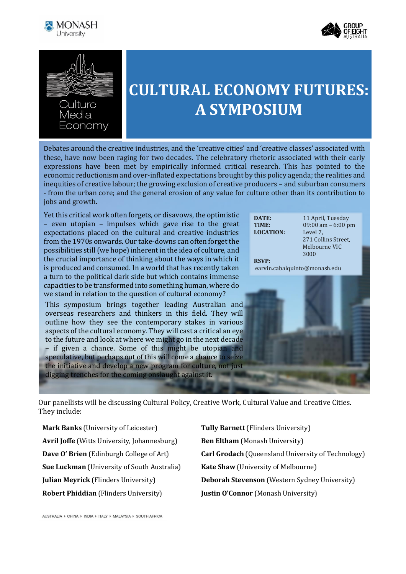





conomy

## **CULTURAL ECONOMY FUTURES: A SYMPOSIUM**

Debates around the creative industries, and the 'creative cities' and 'creative classes' associated with these, have now been raging for two decades. The celebratory rhetoric associated with their early expressions have been met by empirically informed critical research. This has pointed to the economic reductionism and over-inflated expectations brought by this policy agenda; the realities and inequities of creative labour; the growing exclusion of creative producers – and suburban consumers - from the urban core; and the general erosion of any value for culture other than its contribution to jobs and growth.

Yet this critical work often forgets, or disavows, the optimistic – even utopian – impulses which gave rise to the great expectations placed on the cultural and creative industries from the 1970s onwards. Our take-downs can often forget the possibilities still (we hope) inherent in the idea of culture, and the crucial importance of thinking about the ways in which it is produced and consumed. In a world that has recently taken a turn to the political dark side but which contains immense capacities to be transformed into something human, where do we stand in relation to the question of cultural economy? This symposium brings together leading Australian and

overseas researchers and thinkers in this field. They will outline how they see the contemporary stakes in various aspects of the cultural economy. They will cast a critical an eye to the future and look at where we might go in the next decade – if given a chance. Some of this might be utopian and speculative, but perhaps out of this will come a chance to seize the initiative and develop a new program for culture, not just digging trenches for the coming onslaught against it.

| DATE:            | 11 April, Tuesday   |
|------------------|---------------------|
| TIME:            | 09:00 am $-6:00$ pm |
| <b>LOCATION:</b> | Level 7.            |
|                  | 271 Collins Street. |
|                  | Melbourne VIC       |
|                  | 3000                |
| <b>RSVP:</b>     |                     |

earvin.cabalquinto@monash.edu

Our panellists will be discussing Cultural Policy, Creative Work, Cultural Value and Creative Cities. They include:

**Mark Banks** (University of Leicester) **Tully Barnett** (Flinders University) Avril Joffe (Witts University, Johannesburg) **Ben Eltham** (Monash University) **Sue Luckman** (University of South Australia) **Kate Shaw** (University of Melbourne) **Robert Phiddian** (Flinders University) **Justin O'Connor** (Monash University)

**Dave O' Brien** (Edinburgh College of Art) **Carl Grodach** (Queensland University of Technology) **Julian Meyrick** (Flinders University) **Deborah Stevenson** (Western Sydney University)